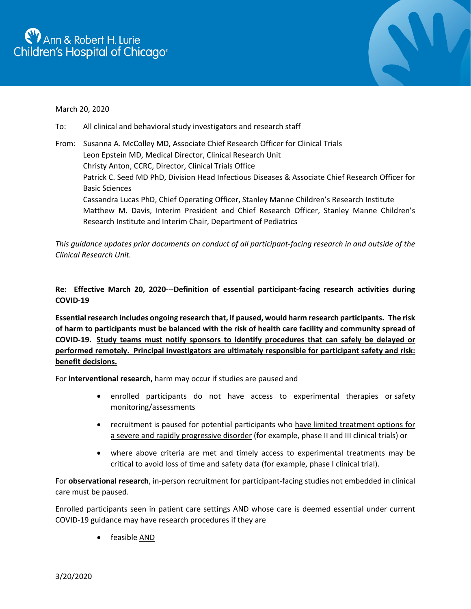

## March 20, 2020

- To: All clinical and behavioral study investigators and research staff
- From: Susanna A. McColley MD, Associate Chief Research Officer for Clinical Trials Leon Epstein MD, Medical Director, Clinical Research Unit Christy Anton, CCRC, Director, Clinical Trials Office Patrick C. Seed MD PhD, Division Head Infectious Diseases & Associate Chief Research Officer for Basic Sciences Cassandra Lucas PhD, Chief Operating Officer, Stanley Manne Children's Research Institute Matthew M. Davis, Interim President and Chief Research Officer, Stanley Manne Children's Research Institute and Interim Chair, Department of Pediatrics

*This guidance updates prior documents on conduct of all participant-facing research in and outside of the Clinical Research Unit.*

**Re: Effective March 20, 2020---Definition of essential participant-facing research activities during COVID-19** 

**Essential research includes ongoing research that, if paused, would harm research participants. The risk of harm to participants must be balanced with the risk of health care facility and community spread of COVID-19. Study teams must notify sponsors to identify procedures that can safely be delayed or performed remotely. Principal investigators are ultimately responsible for participant safety and risk: benefit decisions.**

For **interventional research,** harm may occur if studies are paused and

- enrolled participants do not have access to experimental therapies or safety monitoring/assessments
- recruitment is paused for potential participants who have limited treatment options for a severe and rapidly progressive disorder (for example, phase II and III clinical trials) or
- where above criteria are met and timely access to experimental treatments may be critical to avoid loss of time and safety data (for example, phase I clinical trial).

For **observational research**, in-person recruitment for participant-facing studies not embedded in clinical care must be paused.

Enrolled participants seen in patient care settings AND whose care is deemed essential under current COVID-19 guidance may have research procedures if they are

• feasible AND